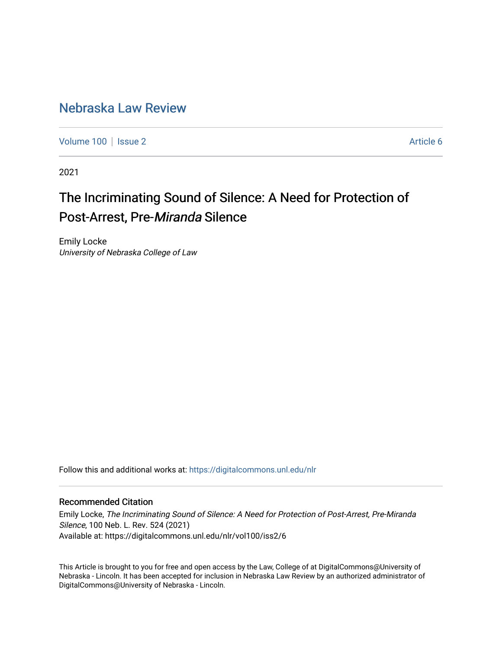# [Nebraska Law Review](https://digitalcommons.unl.edu/nlr)

[Volume 100](https://digitalcommons.unl.edu/nlr/vol100) | [Issue 2](https://digitalcommons.unl.edu/nlr/vol100/iss2) Article 6

2021

# The Incriminating Sound of Silence: A Need for Protection of Post-Arrest, Pre-Miranda Silence

Emily Locke University of Nebraska College of Law

Follow this and additional works at: [https://digitalcommons.unl.edu/nlr](https://digitalcommons.unl.edu/nlr?utm_source=digitalcommons.unl.edu%2Fnlr%2Fvol100%2Fiss2%2F6&utm_medium=PDF&utm_campaign=PDFCoverPages) 

# Recommended Citation

Emily Locke, The Incriminating Sound of Silence: A Need for Protection of Post-Arrest, Pre-Miranda Silence, 100 Neb. L. Rev. 524 (2021) Available at: https://digitalcommons.unl.edu/nlr/vol100/iss2/6

This Article is brought to you for free and open access by the Law, College of at DigitalCommons@University of Nebraska - Lincoln. It has been accepted for inclusion in Nebraska Law Review by an authorized administrator of DigitalCommons@University of Nebraska - Lincoln.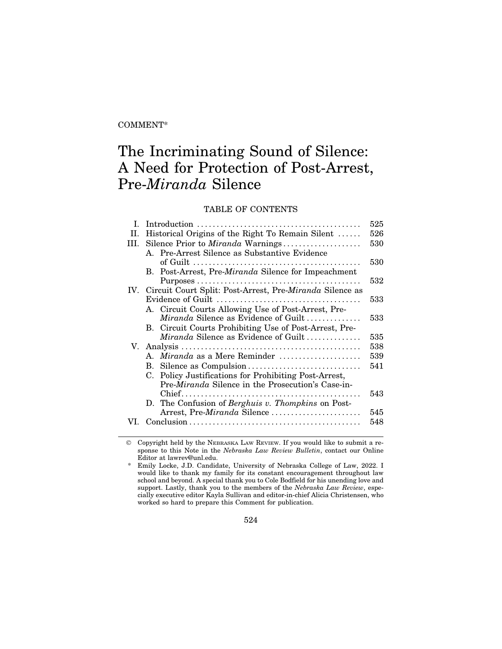# COMMENT\*

# The Incriminating Sound of Silence: A Need for Protection of Post-Arrest, Pre-*Miranda* Silence

# TABLE OF CONTENTS

| L    |                                                                      | 525 |
|------|----------------------------------------------------------------------|-----|
| II.  | Historical Origins of the Right To Remain Silent                     | 526 |
| III. | Silence Prior to Miranda Warnings                                    | 530 |
|      | A. Pre-Arrest Silence as Substantive Evidence                        |     |
|      |                                                                      | 530 |
|      | B. Post-Arrest, Pre-Miranda Silence for Impeachment                  |     |
|      |                                                                      | 532 |
|      | IV. Circuit Court Split: Post-Arrest, Pre- <i>Miranda</i> Silence as |     |
|      |                                                                      | 533 |
|      | A. Circuit Courts Allowing Use of Post-Arrest, Pre-                  |     |
|      | Miranda Silence as Evidence of Guilt                                 | 533 |
|      | B. Circuit Courts Prohibiting Use of Post-Arrest, Pre-               |     |
|      | <i>Miranda</i> Silence as Evidence of Guilt                          | 535 |
|      |                                                                      | 538 |
|      | A. Miranda as a Mere Reminder                                        | 539 |
|      | B. Silence as Compulsion                                             | 541 |
|      | Policy Justifications for Prohibiting Post-Arrest,<br>C.             |     |
|      | Pre- <i>Miranda</i> Silence in the Prosecution's Case-in-            |     |
|      |                                                                      | 543 |
|      | D. The Confusion of Berghuis v. Thompkins on Post-                   |     |
|      | Arrest, Pre-Miranda Silence                                          | 545 |
|      |                                                                      | 548 |
|      |                                                                      |     |

© Copyright held by the NEBRASKA LAW REVIEW. If you would like to submit a response to this Note in the *Nebraska Law Review Bulletin*, contact our Online Editor at lawrev@unl.edu.

\* Emily Locke, J.D. Candidate, University of Nebraska College of Law, 2022. I would like to thank my family for its constant encouragement throughout law school and beyond. A special thank you to Cole Bodfield for his unending love and support. Lastly, thank you to the members of the *Nebraska Law Review*, especially executive editor Kayla Sullivan and editor-in-chief Alicia Christensen, who worked so hard to prepare this Comment for publication.

524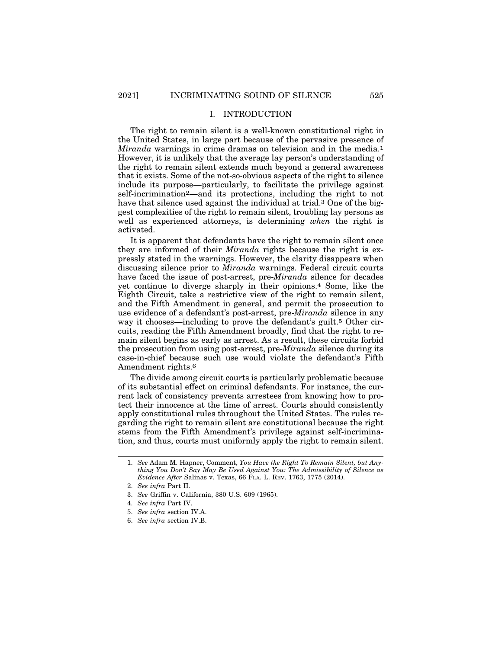### I. INTRODUCTION

The right to remain silent is a well-known constitutional right in the United States, in large part because of the pervasive presence of *Miranda* warnings in crime dramas on television and in the media.<sup>1</sup> However, it is unlikely that the average lay person's understanding of the right to remain silent extends much beyond a general awareness that it exists. Some of the not-so-obvious aspects of the right to silence include its purpose—particularly, to facilitate the privilege against self-incrimination2—and its protections, including the right to not have that silence used against the individual at trial.3 One of the biggest complexities of the right to remain silent, troubling lay persons as well as experienced attorneys, is determining *when* the right is activated.

It is apparent that defendants have the right to remain silent once they are informed of their *Miranda* rights because the right is expressly stated in the warnings. However, the clarity disappears when discussing silence prior to *Miranda* warnings. Federal circuit courts have faced the issue of post-arrest, pre-*Miranda* silence for decades yet continue to diverge sharply in their opinions.4 Some, like the Eighth Circuit, take a restrictive view of the right to remain silent, and the Fifth Amendment in general, and permit the prosecution to use evidence of a defendant's post-arrest, pre-*Miranda* silence in any way it chooses—including to prove the defendant's guilt.<sup>5</sup> Other circuits, reading the Fifth Amendment broadly, find that the right to remain silent begins as early as arrest. As a result, these circuits forbid the prosecution from using post-arrest, pre-*Miranda* silence during its case-in-chief because such use would violate the defendant's Fifth Amendment rights.6

The divide among circuit courts is particularly problematic because of its substantial effect on criminal defendants. For instance, the current lack of consistency prevents arrestees from knowing how to protect their innocence at the time of arrest. Courts should consistently apply constitutional rules throughout the United States. The rules regarding the right to remain silent are constitutional because the right stems from the Fifth Amendment's privilege against self-incrimination, and thus, courts must uniformly apply the right to remain silent.

- 5. *See infra* section IV.A.
- 6. *See infra* section IV.B.

<sup>1.</sup> *See* Adam M. Hapner, Comment, *You Have the Right To Remain Silent, but Anything You Don't Say May Be Used Against You: The Admissibility of Silence as Evidence After* Salinas v. Texas, 66 FLA. L. REV. 1763, 1775 (2014).

<sup>2.</sup> *See infra* Part II.

<sup>3.</sup> *See* Griffin v. California, 380 U.S. 609 (1965).

<sup>4.</sup> *See infra* Part IV.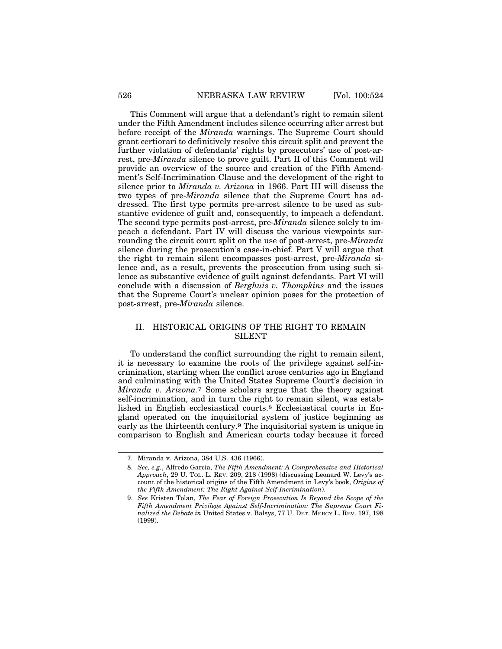This Comment will argue that a defendant's right to remain silent under the Fifth Amendment includes silence occurring after arrest but before receipt of the *Miranda* warnings. The Supreme Court should grant certiorari to definitively resolve this circuit split and prevent the further violation of defendants' rights by prosecutors' use of post-arrest, pre-*Miranda* silence to prove guilt. Part II of this Comment will provide an overview of the source and creation of the Fifth Amendment's Self-Incrimination Clause and the development of the right to silence prior to *Miranda v. Arizona* in 1966. Part III will discuss the two types of pre-*Miranda* silence that the Supreme Court has addressed. The first type permits pre-arrest silence to be used as substantive evidence of guilt and, consequently, to impeach a defendant. The second type permits post-arrest, pre-*Miranda* silence solely to impeach a defendant. Part IV will discuss the various viewpoints surrounding the circuit court split on the use of post-arrest, pre-*Miranda* silence during the prosecution's case-in-chief. Part V will argue that the right to remain silent encompasses post-arrest, pre-*Miranda* silence and, as a result, prevents the prosecution from using such silence as substantive evidence of guilt against defendants. Part VI will conclude with a discussion of *Berghuis v. Thompkins* and the issues that the Supreme Court's unclear opinion poses for the protection of post-arrest, pre-*Miranda* silence.

# II. HISTORICAL ORIGINS OF THE RIGHT TO REMAIN SILENT

To understand the conflict surrounding the right to remain silent, it is necessary to examine the roots of the privilege against self-incrimination, starting when the conflict arose centuries ago in England and culminating with the United States Supreme Court's decision in *Miranda v. Arizona*.7 Some scholars argue that the theory against self-incrimination, and in turn the right to remain silent, was established in English ecclesiastical courts.8 Ecclesiastical courts in England operated on the inquisitorial system of justice beginning as early as the thirteenth century.9 The inquisitorial system is unique in comparison to English and American courts today because it forced

<sup>7.</sup> Miranda v. Arizona, 384 U.S. 436 (1966).

<sup>8.</sup> *See, e.g.*, Alfredo Garcia, *The Fifth Amendment: A Comprehensive and Historical Approach*, 29 U. TOL. L. REV. 209, 218 (1998) (discussing Leonard W. Levy's account of the historical origins of the Fifth Amendment in Levy's book, *Origins of the Fifth Amendment: The Right Against Self-Incrimination*).

<sup>9.</sup> *See* Kristen Tolan, *The Fear of Foreign Prosecution Is Beyond the Scope of the Fifth Amendment Privilege Against Self-Incrimination: The Supreme Court Finalized the Debate in* United States v. Balsys, 77 U. DET. MERCY L. REV. 197, 198 (1999).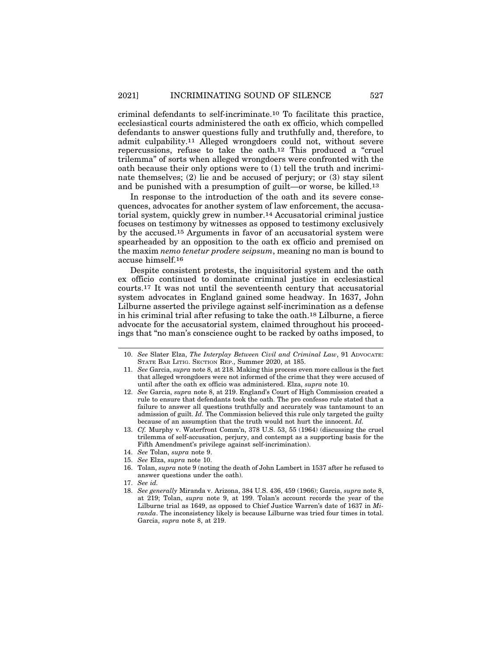criminal defendants to self-incriminate.10 To facilitate this practice, ecclesiastical courts administered the oath ex officio, which compelled defendants to answer questions fully and truthfully and, therefore, to admit culpability.11 Alleged wrongdoers could not, without severe repercussions, refuse to take the oath.12 This produced a "cruel trilemma" of sorts when alleged wrongdoers were confronted with the oath because their only options were to (1) tell the truth and incriminate themselves;  $(2)$  lie and be accused of perjury; or  $(3)$  stay silent and be punished with a presumption of guilt—or worse, be killed.13

In response to the introduction of the oath and its severe consequences, advocates for another system of law enforcement, the accusatorial system, quickly grew in number.14 Accusatorial criminal justice focuses on testimony by witnesses as opposed to testimony exclusively by the accused.15 Arguments in favor of an accusatorial system were spearheaded by an opposition to the oath ex officio and premised on the maxim *nemo tenetur prodere seipsum*, meaning no man is bound to accuse himself.16

Despite consistent protests, the inquisitorial system and the oath ex officio continued to dominate criminal justice in ecclesiastical courts.17 It was not until the seventeenth century that accusatorial system advocates in England gained some headway. In 1637, John Lilburne asserted the privilege against self-incrimination as a defense in his criminal trial after refusing to take the oath.18 Lilburne, a fierce advocate for the accusatorial system, claimed throughout his proceedings that "no man's conscience ought to be racked by oaths imposed, to

- 12. *See* Garcia, *supra* note 8, at 219. England's Court of High Commission created a rule to ensure that defendants took the oath. The pro confesso rule stated that a failure to answer all questions truthfully and accurately was tantamount to an admission of guilt. *Id.* The Commission believed this rule only targeted the guilty because of an assumption that the truth would not hurt the innocent. *Id.*
- 13. *Cf.* Murphy v. Waterfront Comm'n, 378 U.S. 53, 55 (1964) (discussing the cruel trilemma of self-accusation, perjury, and contempt as a supporting basis for the Fifth Amendment's privilege against self-incrimination).
- 14. *See* Tolan, *supra* note 9.
- 15. *See* Elza, *supra* note 10.
- 16. Tolan, *supra* note 9 (noting the death of John Lambert in 1537 after he refused to answer questions under the oath).
- 17. *See id.*
- 18. *See generally* Miranda v. Arizona, 384 U.S. 436, 459 (1966); Garcia, *supra* note 8, at 219; Tolan, *supra* note 9, at 199. Tolan's account records the year of the Lilburne trial as 1649, as opposed to Chief Justice Warren's date of 1637 in *Miranda*. The inconsistency likely is because Lilburne was tried four times in total. Garcia, *supra* note 8, at 219.

<sup>10.</sup> *See* Slater Elza, *The Interplay Between Civil and Criminal Law*, 91 ADVOCATE: STATE BAR LITIG. SECTION REP., Summer 2020, at 185.

<sup>11.</sup> *See* Garcia, *supra* note 8, at 218. Making this process even more callous is the fact that alleged wrongdoers were not informed of the crime that they were accused of until after the oath ex officio was administered. Elza, *supra* note 10.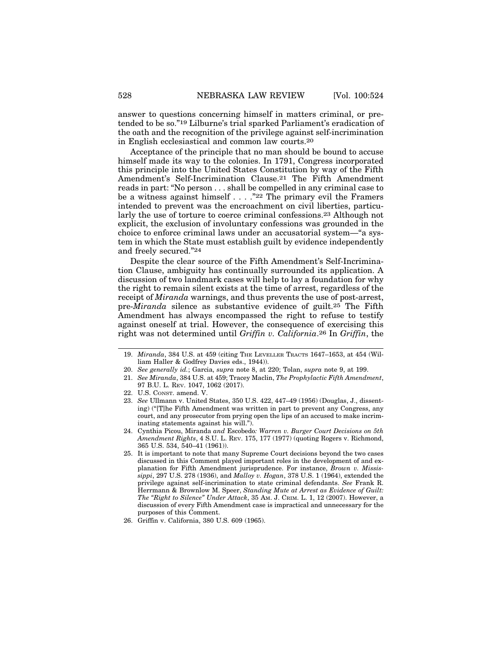answer to questions concerning himself in matters criminal, or pretended to be so."19 Lilburne's trial sparked Parliament's eradication of the oath and the recognition of the privilege against self-incrimination in English ecclesiastical and common law courts.20

Acceptance of the principle that no man should be bound to accuse himself made its way to the colonies. In 1791, Congress incorporated this principle into the United States Constitution by way of the Fifth Amendment's Self-Incrimination Clause.21 The Fifth Amendment reads in part: "No person . . . shall be compelled in any criminal case to be a witness against himself . . . ."22 The primary evil the Framers intended to prevent was the encroachment on civil liberties, particularly the use of torture to coerce criminal confessions.23 Although not explicit, the exclusion of involuntary confessions was grounded in the choice to enforce criminal laws under an accusatorial system—"a system in which the State must establish guilt by evidence independently and freely secured."24

Despite the clear source of the Fifth Amendment's Self-Incrimination Clause, ambiguity has continually surrounded its application. A discussion of two landmark cases will help to lay a foundation for why the right to remain silent exists at the time of arrest, regardless of the receipt of *Miranda* warnings, and thus prevents the use of post-arrest, pre-*Miranda* silence as substantive evidence of guilt.25 The Fifth Amendment has always encompassed the right to refuse to testify against oneself at trial. However, the consequence of exercising this right was not determined until *Griffin v. California*.26 In *Griffin*, the

- 20. *See generally id.*; Garcia, *supra* note 8, at 220; Tolan, *supra* note 9, at 199.
- 21. *See Miranda*, 384 U.S. at 459; Tracey Maclin, *The Prophylactic Fifth Amendment*, 97 B.U. L. REV. 1047, 1062 (2017).
- 22. U.S. CONST. amend. V.
- 23. *See* Ullmann v. United States, 350 U.S. 422, 447–49 (1956) (Douglas, J., dissenting) ("[T]he Fifth Amendment was written in part to prevent any Congress, any court, and any prosecutor from prying open the lips of an accused to make incriminating statements against his will.").
- 24. Cynthia Picou, Miranda *and* Escobedo*: Warren v. Burger Court Decisions on 5th Amendment Rights*, 4 S.U. L. REV. 175, 177 (1977) (quoting Rogers v. Richmond, 365 U.S. 534, 540–41 (1961)).
- 25. It is important to note that many Supreme Court decisions beyond the two cases discussed in this Comment played important roles in the development of and explanation for Fifth Amendment jurisprudence. For instance, *Brown v. Mississippi*, 297 U.S. 278 (1936), and *Malloy v. Hogan*, 378 U.S. 1 (1964), extended the privilege against self-incrimination to state criminal defendants. *See* Frank R. Herrmann & Brownlow M. Speer, *Standing Mute at Arrest as Evidence of Guilt: The "Right to Silence" Under Attack*, 35 AM. J. CRIM. L. 1, 12 (2007). However, a discussion of every Fifth Amendment case is impractical and unnecessary for the purposes of this Comment.

<sup>19.</sup> *Miranda*, 384 U.S. at 459 (citing THE LEVELLER TRACTS 1647–1653, at 454 (William Haller & Godfrey Davies eds., 1944)).

<sup>26.</sup> Griffin v. California, 380 U.S. 609 (1965).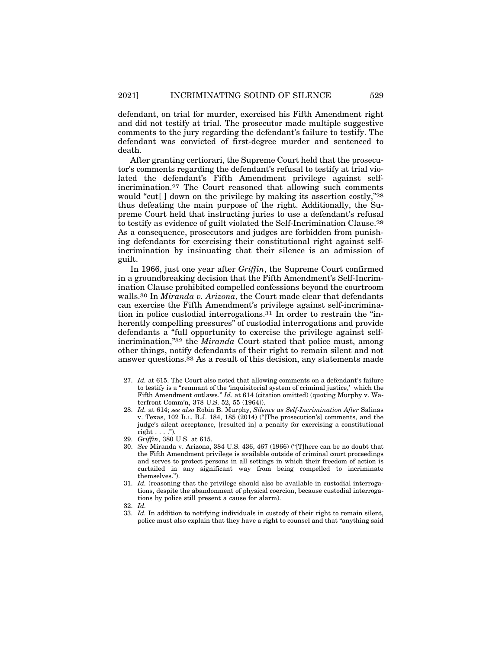defendant, on trial for murder, exercised his Fifth Amendment right and did not testify at trial. The prosecutor made multiple suggestive comments to the jury regarding the defendant's failure to testify. The defendant was convicted of first-degree murder and sentenced to death.

After granting certiorari, the Supreme Court held that the prosecutor's comments regarding the defendant's refusal to testify at trial violated the defendant's Fifth Amendment privilege against selfincrimination.27 The Court reasoned that allowing such comments would "cut[ ] down on the privilege by making its assertion costly,"28 thus defeating the main purpose of the right. Additionally, the Supreme Court held that instructing juries to use a defendant's refusal to testify as evidence of guilt violated the Self-Incrimination Clause.29 As a consequence, prosecutors and judges are forbidden from punishing defendants for exercising their constitutional right against selfincrimination by insinuating that their silence is an admission of guilt.

In 1966, just one year after *Griffin*, the Supreme Court confirmed in a groundbreaking decision that the Fifth Amendment's Self-Incrimination Clause prohibited compelled confessions beyond the courtroom walls.30 In *Miranda v. Arizona*, the Court made clear that defendants can exercise the Fifth Amendment's privilege against self-incrimination in police custodial interrogations.31 In order to restrain the "inherently compelling pressures" of custodial interrogations and provide defendants a "full opportunity to exercise the privilege against selfincrimination,"32 the *Miranda* Court stated that police must, among other things, notify defendants of their right to remain silent and not answer questions.33 As a result of this decision, any statements made

<sup>27.</sup> *Id.* at 615. The Court also noted that allowing comments on a defendant's failure to testify is a "remnant of the 'inquisitorial system of criminal justice,' which the Fifth Amendment outlaws." *Id.* at 614 (citation omitted) (quoting Murphy v. Waterfront Comm'n, 378 U.S. 52, 55 (1964)).

<sup>28.</sup> *Id.* at 614; *see also* Robin B. Murphy, *Silence as Self-Incrimination After* Salinas v. Texas, 102 ILL. B.J. 184, 185 (2014) ("[The prosecution's] comments, and the judge's silent acceptance, [resulted in] a penalty for exercising a constitutional right  $\dots$ .").

<sup>29.</sup> *Griffin*, 380 U.S. at 615.

<sup>30.</sup> *See* Miranda v. Arizona, 384 U.S. 436, 467 (1966) ("[T]here can be no doubt that the Fifth Amendment privilege is available outside of criminal court proceedings and serves to protect persons in all settings in which their freedom of action is curtailed in any significant way from being compelled to incriminate themselves.").

<sup>31.</sup> *Id.* (reasoning that the privilege should also be available in custodial interrogations, despite the abandonment of physical coercion, because custodial interrogations by police still present a cause for alarm).

<sup>32.</sup> *Id.*

<sup>33.</sup> *Id.* In addition to notifying individuals in custody of their right to remain silent, police must also explain that they have a right to counsel and that "anything said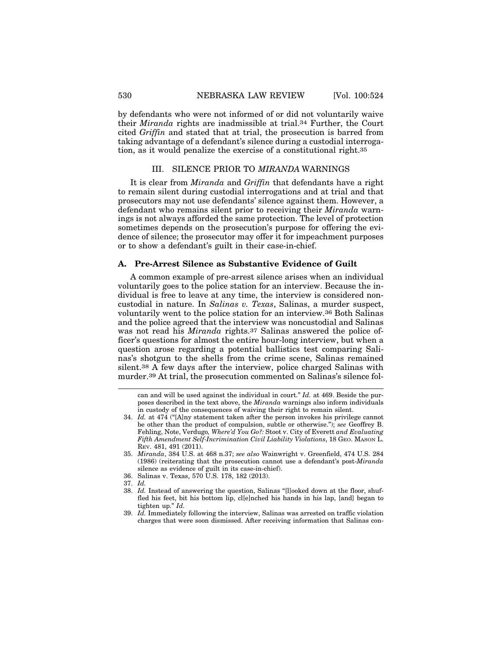by defendants who were not informed of or did not voluntarily waive their *Miranda* rights are inadmissible at trial.34 Further, the Court cited *Griffin* and stated that at trial, the prosecution is barred from taking advantage of a defendant's silence during a custodial interrogation, as it would penalize the exercise of a constitutional right.35

# III. SILENCE PRIOR TO *MIRANDA* WARNINGS

It is clear from *Miranda* and *Griffin* that defendants have a right to remain silent during custodial interrogations and at trial and that prosecutors may not use defendants' silence against them. However, a defendant who remains silent prior to receiving their *Miranda* warnings is not always afforded the same protection. The level of protection sometimes depends on the prosecution's purpose for offering the evidence of silence; the prosecutor may offer it for impeachment purposes or to show a defendant's guilt in their case-in-chief.

#### **A. Pre-Arrest Silence as Substantive Evidence of Guilt**

A common example of pre-arrest silence arises when an individual voluntarily goes to the police station for an interview. Because the individual is free to leave at any time, the interview is considered noncustodial in nature. In *Salinas v. Texas*, Salinas, a murder suspect, voluntarily went to the police station for an interview.36 Both Salinas and the police agreed that the interview was noncustodial and Salinas was not read his *Miranda* rights.37 Salinas answered the police officer's questions for almost the entire hour-long interview, but when a question arose regarding a potential ballistics test comparing Salinas's shotgun to the shells from the crime scene, Salinas remained silent.38 A few days after the interview, police charged Salinas with murder.39 At trial, the prosecution commented on Salinas's silence fol-

can and will be used against the individual in court." *Id.* at 469. Beside the purposes described in the text above, the *Miranda* warnings also inform individuals in custody of the consequences of waiving their right to remain silent.

<sup>34.</sup> *Id.* at 474 ("[A]ny statement taken after the person invokes his privilege cannot be other than the product of compulsion, subtle or otherwise."); *see* Geoffrey B. Fehling, Note, Verdugo*, Where'd You Go?:* Stoot v. City of Everett *and Evaluating Fifth Amendment Self-Incrimination Civil Liability Violations*, 18 GEO. MASON L. REV. 481, 491 (2011).

<sup>35.</sup> *Miranda*, 384 U.S. at 468 n.37; *see also* Wainwright v. Greenfield, 474 U.S. 284 (1986) (reiterating that the prosecution cannot use a defendant's post-*Miranda* silence as evidence of guilt in its case-in-chief).

<sup>36.</sup> Salinas v. Texas, 570 U.S. 178, 182 (2013).

<sup>37.</sup> *Id.*

<sup>38.</sup> *Id.* Instead of answering the question, Salinas "[l]ooked down at the floor, shuffled his feet, bit his bottom lip, cl[e]nched his hands in his lap, [and] began to tighten up." *Id.*

<sup>39.</sup> *Id.* Immediately following the interview, Salinas was arrested on traffic violation charges that were soon dismissed. After receiving information that Salinas con-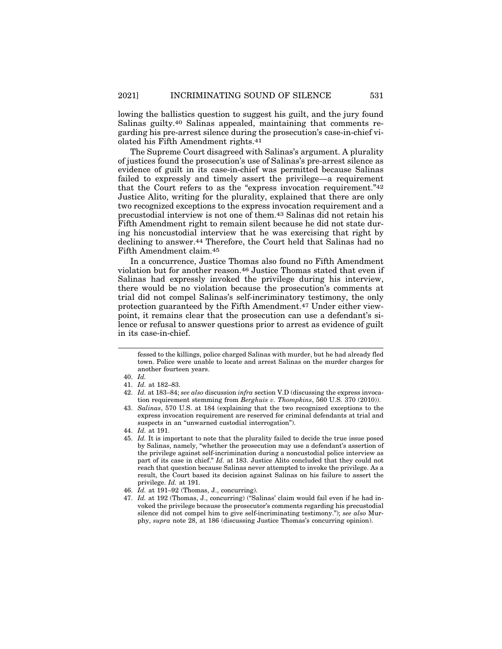lowing the ballistics question to suggest his guilt, and the jury found Salinas guilty.40 Salinas appealed, maintaining that comments regarding his pre-arrest silence during the prosecution's case-in-chief violated his Fifth Amendment rights.41

The Supreme Court disagreed with Salinas's argument. A plurality of justices found the prosecution's use of Salinas's pre-arrest silence as evidence of guilt in its case-in-chief was permitted because Salinas failed to expressly and timely assert the privilege—a requirement that the Court refers to as the "express invocation requirement."42 Justice Alito, writing for the plurality, explained that there are only two recognized exceptions to the express invocation requirement and a precustodial interview is not one of them.43 Salinas did not retain his Fifth Amendment right to remain silent because he did not state during his noncustodial interview that he was exercising that right by declining to answer.44 Therefore, the Court held that Salinas had no Fifth Amendment claim.45

In a concurrence, Justice Thomas also found no Fifth Amendment violation but for another reason.46 Justice Thomas stated that even if Salinas had expressly invoked the privilege during his interview, there would be no violation because the prosecution's comments at trial did not compel Salinas's self-incriminatory testimony, the only protection guaranteed by the Fifth Amendment.47 Under either viewpoint, it remains clear that the prosecution can use a defendant's silence or refusal to answer questions prior to arrest as evidence of guilt in its case-in-chief.

- 42. *Id.* at 183–84; *see also* discussion *infra* section V.D (discussing the express invocation requirement stemming from *Berghuis v. Thompkins*, 560 U.S. 370 (2010)).
- 43. *Salinas*, 570 U.S. at 184 (explaining that the two recognized exceptions to the express invocation requirement are reserved for criminal defendants at trial and suspects in an "unwarned custodial interrogation").

fessed to the killings, police charged Salinas with murder, but he had already fled town. Police were unable to locate and arrest Salinas on the murder charges for another fourteen years.

<sup>40.</sup> *Id.*

<sup>41.</sup> *Id.* at 182–83.

<sup>44.</sup> *Id.* at 191.

<sup>45.</sup> *Id.* It is important to note that the plurality failed to decide the true issue posed by Salinas, namely, "whether the prosecution may use a defendant's assertion of the privilege against self-incrimination during a noncustodial police interview as part of its case in chief." *Id.* at 183. Justice Alito concluded that they could not reach that question because Salinas never attempted to invoke the privilege. As a result, the Court based its decision against Salinas on his failure to assert the privilege. *Id.* at 191.

<sup>46.</sup> *Id.* at 191–92 (Thomas, J., concurring).

<sup>47.</sup> *Id.* at 192 (Thomas, J., concurring) ("Salinas' claim would fail even if he had invoked the privilege because the prosecutor's comments regarding his precustodial silence did not compel him to give self-incriminating testimony."); *see also* Murphy, *supra* note 28, at 186 (discussing Justice Thomas's concurring opinion).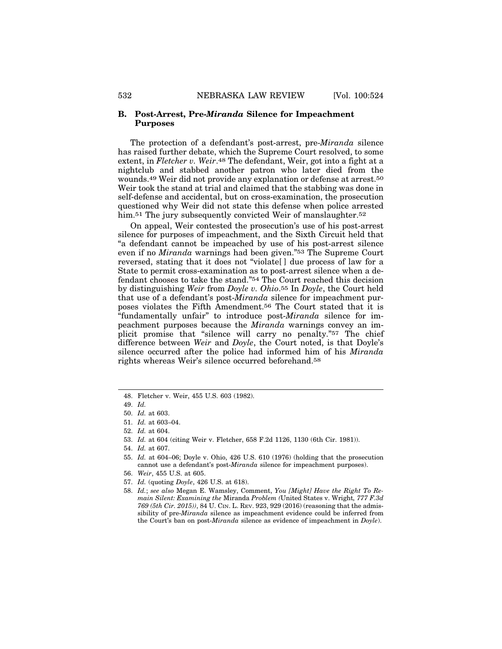#### **B. Post-Arrest, Pre-***Miranda* **Silence for Impeachment Purposes**

The protection of a defendant's post-arrest, pre-*Miranda* silence has raised further debate, which the Supreme Court resolved, to some extent, in *Fletcher v. Weir*.48 The defendant, Weir, got into a fight at a nightclub and stabbed another patron who later died from the wounds.49 Weir did not provide any explanation or defense at arrest.50 Weir took the stand at trial and claimed that the stabbing was done in self-defense and accidental, but on cross-examination, the prosecution questioned why Weir did not state this defense when police arrested him.<sup>51</sup> The jury subsequently convicted Weir of manslaughter.<sup>52</sup>

On appeal, Weir contested the prosecution's use of his post-arrest silence for purposes of impeachment, and the Sixth Circuit held that "a defendant cannot be impeached by use of his post-arrest silence even if no *Miranda* warnings had been given."53 The Supreme Court reversed, stating that it does not "violate[ ] due process of law for a State to permit cross-examination as to post-arrest silence when a defendant chooses to take the stand."54 The Court reached this decision by distinguishing *Weir* from *Doyle v. Ohio*.55 In *Doyle*, the Court held that use of a defendant's post-*Miranda* silence for impeachment purposes violates the Fifth Amendment.56 The Court stated that it is "fundamentally unfair" to introduce post-*Miranda* silence for impeachment purposes because the *Miranda* warnings convey an implicit promise that "silence will carry no penalty."57 The chief difference between *Weir* and *Doyle*, the Court noted, is that Doyle's silence occurred after the police had informed him of his *Miranda* rights whereas Weir's silence occurred beforehand.58

<sup>48.</sup> Fletcher v. Weir, 455 U.S. 603 (1982).

<sup>49.</sup> *Id.*

<sup>50.</sup> *Id.* at 603.

<sup>51.</sup> *Id.* at 603–04.

<sup>52.</sup> *Id.* at 604.

<sup>53.</sup> *Id.* at 604 (citing Weir v. Fletcher, 658 F.2d 1126, 1130 (6th Cir. 1981)).

<sup>54.</sup> *Id.* at 607.

<sup>55.</sup> *Id.* at 604–06; Doyle v. Ohio, 426 U.S. 610 (1976) (holding that the prosecution cannot use a defendant's post-*Miranda* silence for impeachment purposes).

<sup>56.</sup> *Weir*, 455 U.S. at 605.

<sup>57.</sup> *Id.* (quoting *Doyle*, 426 U.S. at 618).

<sup>58.</sup> *Id.*; *see also* Megan E. Wamsley, Comment, *You [Might] Have the Right To Remain Silent: Examining the* Miranda *Problem (*United States v. Wright*, 777 F.3d 769 (5th Cir. 2015))*, 84 U. CIN. L. REV. 923, 929 (2016) (reasoning that the admissibility of pre-*Miranda* silence as impeachment evidence could be inferred from the Court's ban on post-*Miranda* silence as evidence of impeachment in *Doyle*).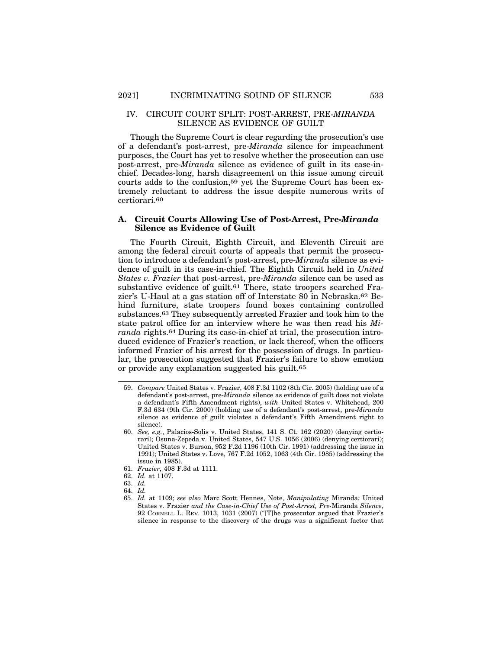#### IV. CIRCUIT COURT SPLIT: POST-ARREST, PRE-*MIRANDA* SILENCE AS EVIDENCE OF GUILT

Though the Supreme Court is clear regarding the prosecution's use of a defendant's post-arrest, pre-*Miranda* silence for impeachment purposes, the Court has yet to resolve whether the prosecution can use post-arrest, pre-*Miranda* silence as evidence of guilt in its case-inchief. Decades-long, harsh disagreement on this issue among circuit courts adds to the confusion,59 yet the Supreme Court has been extremely reluctant to address the issue despite numerous writs of certiorari.60

## **A. Circuit Courts Allowing Use of Post-Arrest, Pre-***Miranda* **Silence as Evidence of Guilt**

The Fourth Circuit, Eighth Circuit, and Eleventh Circuit are among the federal circuit courts of appeals that permit the prosecution to introduce a defendant's post-arrest, pre-*Miranda* silence as evidence of guilt in its case-in-chief. The Eighth Circuit held in *United States v. Frazier* that post-arrest, pre-*Miranda* silence can be used as substantive evidence of guilt.<sup>61</sup> There, state troopers searched Frazier's U-Haul at a gas station off of Interstate 80 in Nebraska.62 Behind furniture, state troopers found boxes containing controlled substances.63 They subsequently arrested Frazier and took him to the state patrol office for an interview where he was then read his *Miranda* rights.64 During its case-in-chief at trial, the prosecution introduced evidence of Frazier's reaction, or lack thereof, when the officers informed Frazier of his arrest for the possession of drugs. In particular, the prosecution suggested that Frazier's failure to show emotion or provide any explanation suggested his guilt.65

<sup>59.</sup> *Compare* United States v. Frazier, 408 F.3d 1102 (8th Cir. 2005) (holding use of a defendant's post-arrest, pre-*Miranda* silence as evidence of guilt does not violate a defendant's Fifth Amendment rights), *with* United States v. Whitehead, 200 F.3d 634 (9th Cir. 2000) (holding use of a defendant's post-arrest, pre-*Miranda* silence as evidence of guilt violates a defendant's Fifth Amendment right to silence).

<sup>60.</sup> *See, e.g.*, Palacios-Solis v. United States, 141 S. Ct. 162 (2020) (denying certiorari); Osuna-Zepeda v. United States, 547 U.S. 1056 (2006) (denying certiorari); United States v. Burson, 952 F.2d 1196 (10th Cir. 1991) (addressing the issue in 1991); United States v. Love, 767 F.2d 1052, 1063 (4th Cir. 1985) (addressing the issue in 1985).

<sup>61.</sup> *Frazier*, 408 F.3d at 1111.

<sup>62.</sup> *Id.* at 1107.

<sup>63.</sup> *Id.*

<sup>64.</sup> *Id.*

<sup>65.</sup> *Id.* at 1109; *see also* Marc Scott Hennes, Note, *Manipulating* Miranda*:* United States v. Frazier *and the Case-in-Chief Use of Post-Arrest, Pre-*Miranda *Silence*, 92 CORNELL L. REV. 1013, 1031 (2007) ("[T]he prosecutor argued that Frazier's silence in response to the discovery of the drugs was a significant factor that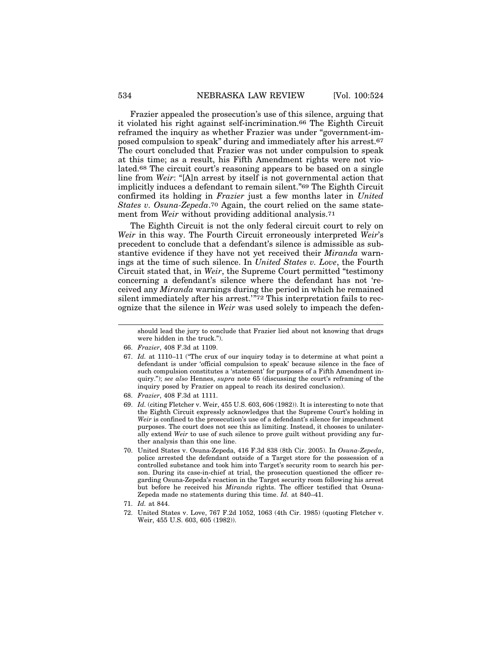Frazier appealed the prosecution's use of this silence, arguing that it violated his right against self-incrimination.66 The Eighth Circuit reframed the inquiry as whether Frazier was under "government-imposed compulsion to speak" during and immediately after his arrest.67 The court concluded that Frazier was not under compulsion to speak at this time; as a result, his Fifth Amendment rights were not violated.68 The circuit court's reasoning appears to be based on a single line from *Weir*: "[A]n arrest by itself is not governmental action that implicitly induces a defendant to remain silent."69 The Eighth Circuit confirmed its holding in *Frazier* just a few months later in *United States v. Osuna-Zepeda*.70 Again, the court relied on the same statement from *Weir* without providing additional analysis.<sup>71</sup>

The Eighth Circuit is not the only federal circuit court to rely on *Weir* in this way. The Fourth Circuit erroneously interpreted *Weir*'s precedent to conclude that a defendant's silence is admissible as substantive evidence if they have not yet received their *Miranda* warnings at the time of such silence. In *United States v. Love*, the Fourth Circuit stated that, in *Weir*, the Supreme Court permitted "testimony concerning a defendant's silence where the defendant has not 'received any *Miranda* warnings during the period in which he remained silent immediately after his arrest."72 This interpretation fails to recognize that the silence in *Weir* was used solely to impeach the defen-

- 68. *Frazier*, 408 F.3d at 1111.
- 69. *Id.* (citing Fletcher v. Weir, 455 U.S. 603, 606 (1982)). It is interesting to note that the Eighth Circuit expressly acknowledges that the Supreme Court's holding in *Weir* is confined to the prosecution's use of a defendant's silence for impeachment purposes. The court does not see this as limiting. Instead, it chooses to unilaterally extend *Weir* to use of such silence to prove guilt without providing any further analysis than this one line.
- 70. United States v. Osuna-Zepeda, 416 F.3d 838 (8th Cir. 2005). In *Osuna-Zepeda*, police arrested the defendant outside of a Target store for the possession of a controlled substance and took him into Target's security room to search his person. During its case-in-chief at trial, the prosecution questioned the officer regarding Osuna-Zepeda's reaction in the Target security room following his arrest but before he received his *Miranda* rights. The officer testified that Osuna-Zepeda made no statements during this time. *Id.* at 840–41.
- 71. *Id.* at 844.
- 72. United States v. Love, 767 F.2d 1052, 1063 (4th Cir. 1985) (quoting Fletcher v. Weir, 455 U.S. 603, 605 (1982)).

should lead the jury to conclude that Frazier lied about not knowing that drugs were hidden in the truck.").

<sup>66.</sup> *Frazier*, 408 F.3d at 1109.

<sup>67.</sup> *Id.* at 1110–11 ("The crux of our inquiry today is to determine at what point a defendant is under 'official compulsion to speak' because silence in the face of such compulsion constitutes a 'statement' for purposes of a Fifth Amendment inquiry."); *see also* Hennes, *supra* note 65 (discussing the court's reframing of the inquiry posed by Frazier on appeal to reach its desired conclusion).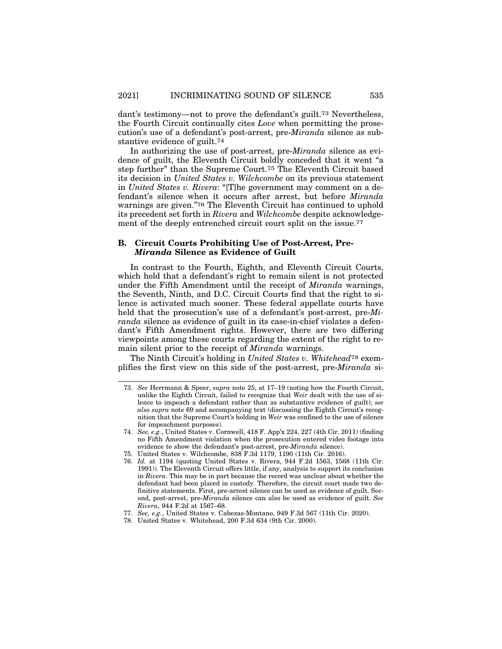dant's testimony—not to prove the defendant's guilt.73 Nevertheless, the Fourth Circuit continually cites *Love* when permitting the prosecution's use of a defendant's post-arrest, pre-*Miranda* silence as substantive evidence of guilt.74

In authorizing the use of post-arrest, pre-*Miranda* silence as evidence of guilt, the Eleventh Circuit boldly conceded that it went "a step further" than the Supreme Court.75 The Eleventh Circuit based its decision in *United States v. Wilchcombe* on its previous statement in *United States v. Rivera*: "[T]he government may comment on a defendant's silence when it occurs after arrest, but before *Miranda* warnings are given."76 The Eleventh Circuit has continued to uphold its precedent set forth in *Rivera* and *Wilchcombe* despite acknowledgement of the deeply entrenched circuit court split on the issue.<sup>77</sup>

# **B. Circuit Courts Prohibiting Use of Post-Arrest, Pre-***Miranda* **Silence as Evidence of Guilt**

In contrast to the Fourth, Eighth, and Eleventh Circuit Courts, which hold that a defendant's right to remain silent is not protected under the Fifth Amendment until the receipt of *Miranda* warnings, the Seventh, Ninth, and D.C. Circuit Courts find that the right to silence is activated much sooner. These federal appellate courts have held that the prosecution's use of a defendant's post-arrest, pre-*Miranda* silence as evidence of guilt in its case-in-chief violates a defendant's Fifth Amendment rights. However, there are two differing viewpoints among these courts regarding the extent of the right to remain silent prior to the receipt of *Miranda* warnings.

The Ninth Circuit's holding in *United States v. Whitehead*78 exemplifies the first view on this side of the post-arrest, pre-*Miranda* si-

<sup>73.</sup> *See* Herrmann & Speer, *supra* note 25, at 17–19 (noting how the Fourth Circuit, unlike the Eighth Circuit, failed to recognize that *Weir* dealt with the use of silence to impeach a defendant rather than as substantive evidence of guilt); *see also supra* note 69 and accompanying text (discussing the Eighth Circuit's recognition that the Supreme Court's holding in *Weir* was confined to the use of silence for impeachment purposes).

<sup>74.</sup> *See, e.g.*, United States v. Cornwell, 418 F. App'x 224, 227 (4th Cir. 2011) (finding no Fifth Amendment violation when the prosecution entered video footage into evidence to show the defendant's post-arrest, pre-*Miranda* silence).

<sup>75.</sup> United States v. Wilchcombe, 838 F.3d 1179, 1190 (11th Cir. 2016).

<sup>76.</sup> *Id.* at 1194 (quoting United States v. Rivera, 944 F.2d 1563, 1568 (11th Cir. 1991)). The Eleventh Circuit offers little, if any, analysis to support its conclusion in *Rivera*. This may be in part because the record was unclear about whether the defendant had been placed in custody. Therefore, the circuit court made two definitive statements. First, pre-arrest silence can be used as evidence of guilt. Second, post-arrest, pre-*Miranda* silence can also be used as evidence of guilt. *See Rivera*, 944 F.2d at 1567–68.

<sup>77.</sup> *See, e.g.*, United States v. Cabezas-Montano, 949 F.3d 567 (11th Cir. 2020).

<sup>78.</sup> United States v. Whitehead, 200 F.3d 634 (9th Cir. 2000).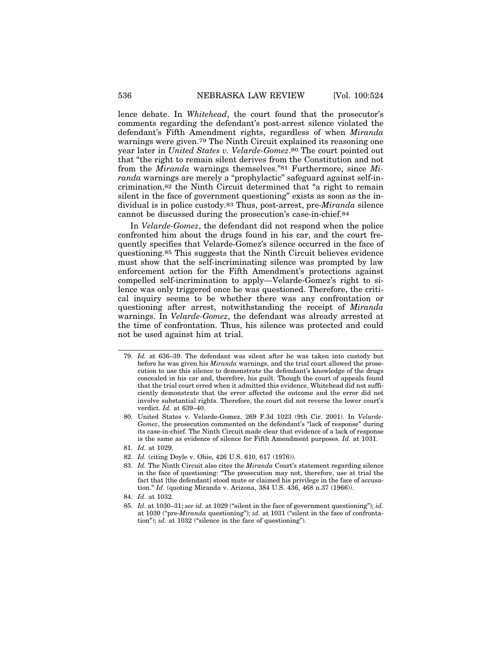lence debate. In *Whitehead*, the court found that the prosecutor's comments regarding the defendant's post-arrest silence violated the defendant's Fifth Amendment rights, regardless of when *Miranda* warnings were given.79 The Ninth Circuit explained its reasoning one year later in *United States v. Velarde-Gomez*.80 The court pointed out that "the right to remain silent derives from the Constitution and not from the *Miranda* warnings themselves."81 Furthermore, since *Miranda* warnings are merely a "prophylactic" safeguard against self-incrimination,82 the Ninth Circuit determined that "a right to remain silent in the face of government questioning" exists as soon as the individual is in police custody.83 Thus, post-arrest, pre-*Miranda* silence cannot be discussed during the prosecution's case-in-chief.84

In *Velarde-Gomez*, the defendant did not respond when the police confronted him about the drugs found in his car, and the court frequently specifies that Velarde-Gomez's silence occurred in the face of questioning.85 This suggests that the Ninth Circuit believes evidence must show that the self-incriminating silence was prompted by law enforcement action for the Fifth Amendment's protections against compelled self-incrimination to apply—Velarde-Gomez's right to silence was only triggered once he was questioned. Therefore, the critical inquiry seems to be whether there was any confrontation or questioning after arrest, notwithstanding the receipt of *Miranda* warnings. In *Velarde-Gomez*, the defendant was already arrested at the time of confrontation. Thus, his silence was protected and could not be used against him at trial.

- 79. *Id.* at 636–39. The defendant was silent after he was taken into custody but before he was given his *Miranda* warnings, and the trial court allowed the prosecution to use this silence to demonstrate the defendant's knowledge of the drugs concealed in his car and, therefore, his guilt. Though the court of appeals found that the trial court erred when it admitted this evidence, Whitehead did not sufficiently demonstrate that the error affected the outcome and the error did not involve substantial rights. Therefore, the court did not reverse the lower court's verdict. *Id.* at 639–40.
- 80. United States v. Velarde-Gomez, 269 F.3d 1023 (9th Cir. 2001). In *Velarde-Gomez*, the prosecution commented on the defendant's "lack of response" during its case-in-chief. The Ninth Circuit made clear that evidence of a lack of response is the same as evidence of silence for Fifth Amendment purposes. *Id.* at 1031.
- 81. *Id.* at 1029.
- 82. *Id.* (citing Doyle v. Ohio, 426 U.S. 610, 617 (1976)).
- 83. *Id.* The Ninth Circuit also cites the *Miranda* Court's statement regarding silence in the face of questioning: "The prosecution may not, therefore, use at trial the fact that [the defendant] stood mute or claimed his privilege in the face of accusation." *Id.* (quoting Miranda v. Arizona, 384 U.S. 436, 468 n.37 (1966)).
- 84. *Id.* at 1032.
- 85. *Id.* at 1030–31; *see id.* at 1029 ("silent in the face of government questioning"); *id.* at 1030 ("pre-*Miranda* questioning"); *id.* at 1031 ("silent in the face of confrontation"); *id.* at 1032 ("silence in the face of questioning").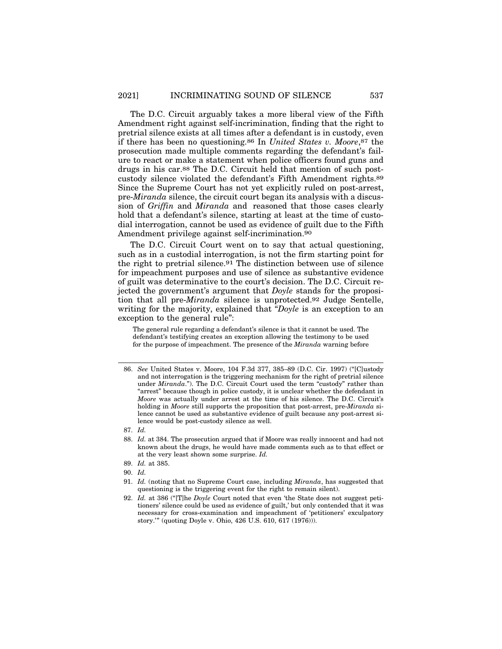The D.C. Circuit arguably takes a more liberal view of the Fifth Amendment right against self-incrimination, finding that the right to pretrial silence exists at all times after a defendant is in custody, even if there has been no questioning.86 In *United States v. Moore*,87 the prosecution made multiple comments regarding the defendant's failure to react or make a statement when police officers found guns and drugs in his car.88 The D.C. Circuit held that mention of such postcustody silence violated the defendant's Fifth Amendment rights.89 Since the Supreme Court has not yet explicitly ruled on post-arrest, pre-*Miranda* silence, the circuit court began its analysis with a discussion of *Griffin* and *Miranda* and reasoned that those cases clearly hold that a defendant's silence, starting at least at the time of custodial interrogation, cannot be used as evidence of guilt due to the Fifth Amendment privilege against self-incrimination.90

The D.C. Circuit Court went on to say that actual questioning, such as in a custodial interrogation, is not the firm starting point for the right to pretrial silence.91 The distinction between use of silence for impeachment purposes and use of silence as substantive evidence of guilt was determinative to the court's decision. The D.C. Circuit rejected the government's argument that *Doyle* stands for the proposition that all pre-*Miranda* silence is unprotected.92 Judge Sentelle, writing for the majority, explained that "*Doyle* is an exception to an exception to the general rule":

The general rule regarding a defendant's silence is that it cannot be used. The defendant's testifying creates an exception allowing the testimony to be used for the purpose of impeachment. The presence of the *Miranda* warning before

90. *Id.*

<sup>86.</sup> *See* United States v. Moore, 104 F.3d 377, 385–89 (D.C. Cir. 1997) ("[C]ustody and not interrogation is the triggering mechanism for the right of pretrial silence under *Miranda*."). The D.C. Circuit Court used the term "custody" rather than "arrest" because though in police custody, it is unclear whether the defendant in *Moore* was actually under arrest at the time of his silence. The D.C. Circuit's holding in *Moore* still supports the proposition that post-arrest, pre-*Miranda* silence cannot be used as substantive evidence of guilt because any post-arrest silence would be post-custody silence as well.

<sup>87.</sup> *Id.*

<sup>88.</sup> *Id.* at 384. The prosecution argued that if Moore was really innocent and had not known about the drugs, he would have made comments such as to that effect or at the very least shown some surprise. *Id.*

<sup>89.</sup> *Id.* at 385.

<sup>91.</sup> *Id.* (noting that no Supreme Court case, including *Miranda*, has suggested that questioning is the triggering event for the right to remain silent).

<sup>92.</sup> *Id.* at 386 ("[T]he *Doyle* Court noted that even 'the State does not suggest petitioners' silence could be used as evidence of guilt,' but only contended that it was necessary for cross-examination and impeachment of 'petitioners' exculpatory story.'" (quoting Doyle v. Ohio, 426 U.S. 610, 617 (1976))).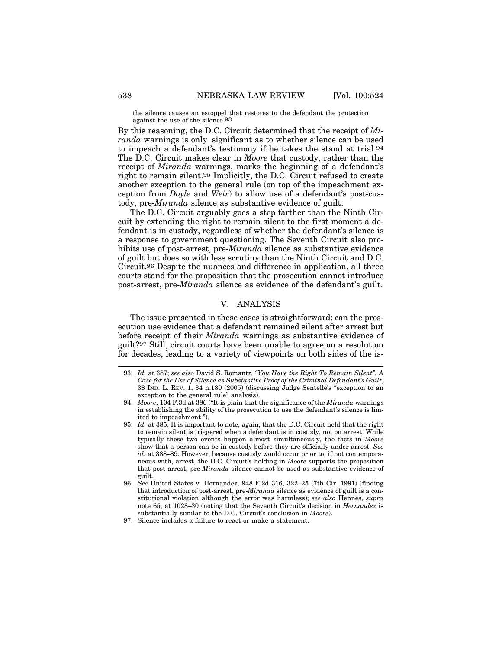the silence causes an estoppel that restores to the defendant the protection against the use of the silence.93

By this reasoning, the D.C. Circuit determined that the receipt of *Miranda* warnings is only significant as to whether silence can be used to impeach a defendant's testimony if he takes the stand at trial.94 The D.C. Circuit makes clear in *Moore* that custody, rather than the receipt of *Miranda* warnings, marks the beginning of a defendant's right to remain silent.95 Implicitly, the D.C. Circuit refused to create another exception to the general rule (on top of the impeachment exception from *Doyle* and *Weir*) to allow use of a defendant's post-custody, pre-*Miranda* silence as substantive evidence of guilt.

The D.C. Circuit arguably goes a step farther than the Ninth Circuit by extending the right to remain silent to the first moment a defendant is in custody, regardless of whether the defendant's silence is a response to government questioning. The Seventh Circuit also prohibits use of post-arrest, pre-*Miranda* silence as substantive evidence of guilt but does so with less scrutiny than the Ninth Circuit and D.C. Circuit.96 Despite the nuances and difference in application, all three courts stand for the proposition that the prosecution cannot introduce post-arrest, pre-*Miranda* silence as evidence of the defendant's guilt.

# V. ANALYSIS

The issue presented in these cases is straightforward: can the prosecution use evidence that a defendant remained silent after arrest but before receipt of their *Miranda* warnings as substantive evidence of guilt?97 Still, circuit courts have been unable to agree on a resolution for decades, leading to a variety of viewpoints on both sides of the is-

<sup>93.</sup> *Id.* at 387; *see also* David S. Romantz*, "You Have the Right To Remain Silent": A Case for the Use of Silence as Substantive Proof of the Criminal Defendant's Guilt*, 38 IND. L. REV. 1, 34 n.180 (2005) (discussing Judge Sentelle's "exception to an exception to the general rule" analysis).

<sup>94.</sup> *Moore*, 104 F.3d at 386 ("It is plain that the significance of the *Miranda* warnings in establishing the ability of the prosecution to use the defendant's silence is limited to impeachment.").

<sup>95.</sup> *Id.* at 385. It is important to note, again, that the D.C. Circuit held that the right to remain silent is triggered when a defendant is in custody, not on arrest. While typically these two events happen almost simultaneously, the facts in *Moore* show that a person can be in custody before they are officially under arrest. *See id.* at 388–89. However, because custody would occur prior to, if not contemporaneous with, arrest, the D.C. Circuit's holding in *Moore* supports the proposition that post-arrest, pre-*Miranda* silence cannot be used as substantive evidence of guilt.

<sup>96.</sup> *See* United States v. Hernandez, 948 F.2d 316, 322–25 (7th Cir. 1991) (finding that introduction of post-arrest, pre-*Miranda* silence as evidence of guilt is a constitutional violation although the error was harmless); *see also* Hennes, *supra* note 65, at 1028–30 (noting that the Seventh Circuit's decision in *Hernandez* is substantially similar to the D.C. Circuit's conclusion in *Moore*).

<sup>97.</sup> Silence includes a failure to react or make a statement.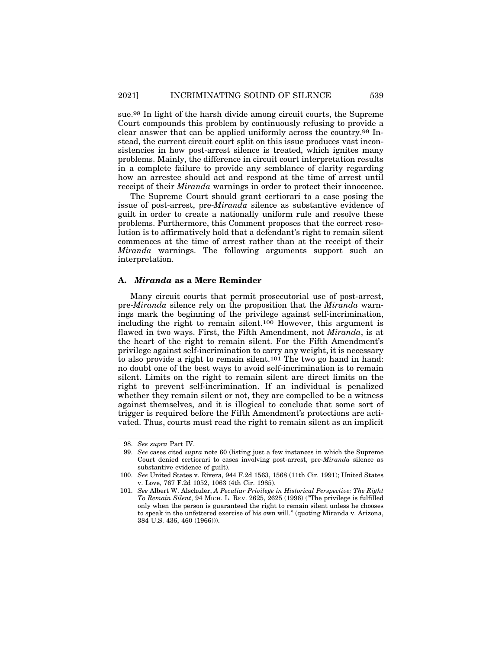sue.98 In light of the harsh divide among circuit courts, the Supreme Court compounds this problem by continuously refusing to provide a clear answer that can be applied uniformly across the country.99 Instead, the current circuit court split on this issue produces vast inconsistencies in how post-arrest silence is treated, which ignites many problems. Mainly, the difference in circuit court interpretation results in a complete failure to provide any semblance of clarity regarding how an arrestee should act and respond at the time of arrest until receipt of their *Miranda* warnings in order to protect their innocence.

The Supreme Court should grant certiorari to a case posing the issue of post-arrest, pre-*Miranda* silence as substantive evidence of guilt in order to create a nationally uniform rule and resolve these problems. Furthermore, this Comment proposes that the correct resolution is to affirmatively hold that a defendant's right to remain silent commences at the time of arrest rather than at the receipt of their *Miranda* warnings. The following arguments support such an interpretation.

## **A.** *Miranda* **as a Mere Reminder**

Many circuit courts that permit prosecutorial use of post-arrest, pre-*Miranda* silence rely on the proposition that the *Miranda* warnings mark the beginning of the privilege against self-incrimination, including the right to remain silent.100 However, this argument is flawed in two ways. First, the Fifth Amendment, not *Miranda*, is at the heart of the right to remain silent. For the Fifth Amendment's privilege against self-incrimination to carry any weight, it is necessary to also provide a right to remain silent.101 The two go hand in hand: no doubt one of the best ways to avoid self-incrimination is to remain silent. Limits on the right to remain silent are direct limits on the right to prevent self-incrimination. If an individual is penalized whether they remain silent or not, they are compelled to be a witness against themselves, and it is illogical to conclude that some sort of trigger is required before the Fifth Amendment's protections are activated. Thus, courts must read the right to remain silent as an implicit

<sup>98.</sup> *See supra* Part IV.

<sup>99.</sup> *See* cases cited *supra* note 60 (listing just a few instances in which the Supreme Court denied certiorari to cases involving post-arrest, pre-*Miranda* silence as substantive evidence of guilt).

<sup>100.</sup> *See* United States v. Rivera, 944 F.2d 1563, 1568 (11th Cir. 1991); United States v. Love, 767 F.2d 1052, 1063 (4th Cir. 1985).

<sup>101.</sup> *See* Albert W. Alschuler, *A Peculiar Privilege in Historical Perspective: The Right To Remain Silent*, 94 MICH. L. REV. 2625, 2625 (1996) ("The privilege is fulfilled only when the person is guaranteed the right to remain silent unless he chooses to speak in the unfettered exercise of his own will." (quoting Miranda v. Arizona, 384 U.S. 436, 460 (1966))).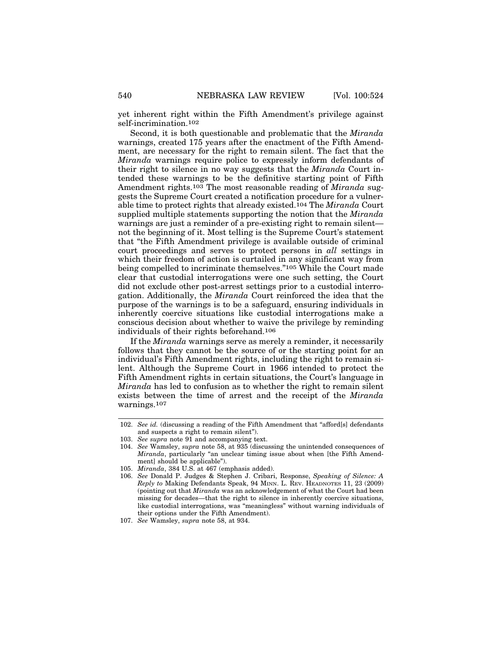yet inherent right within the Fifth Amendment's privilege against self-incrimination.102

Second, it is both questionable and problematic that the *Miranda* warnings, created 175 years after the enactment of the Fifth Amendment, are necessary for the right to remain silent. The fact that the *Miranda* warnings require police to expressly inform defendants of their right to silence in no way suggests that the *Miranda* Court intended these warnings to be the definitive starting point of Fifth Amendment rights.103 The most reasonable reading of *Miranda* suggests the Supreme Court created a notification procedure for a vulnerable time to protect rights that already existed.104 The *Miranda* Court supplied multiple statements supporting the notion that the *Miranda* warnings are just a reminder of a pre-existing right to remain silent not the beginning of it. Most telling is the Supreme Court's statement that "the Fifth Amendment privilege is available outside of criminal court proceedings and serves to protect persons in *all* settings in which their freedom of action is curtailed in any significant way from being compelled to incriminate themselves."105 While the Court made clear that custodial interrogations were one such setting, the Court did not exclude other post-arrest settings prior to a custodial interrogation. Additionally, the *Miranda* Court reinforced the idea that the purpose of the warnings is to be a safeguard, ensuring individuals in inherently coercive situations like custodial interrogations make a conscious decision about whether to waive the privilege by reminding individuals of their rights beforehand.106

If the *Miranda* warnings serve as merely a reminder, it necessarily follows that they cannot be the source of or the starting point for an individual's Fifth Amendment rights, including the right to remain silent. Although the Supreme Court in 1966 intended to protect the Fifth Amendment rights in certain situations, the Court's language in *Miranda* has led to confusion as to whether the right to remain silent exists between the time of arrest and the receipt of the *Miranda* warnings.107

<sup>102.</sup> *See id.* (discussing a reading of the Fifth Amendment that "afford[s] defendants and suspects a right to remain silent").

<sup>103.</sup> *See supra* note 91 and accompanying text.

<sup>104.</sup> *See* Wamsley, *supra* note 58, at 935 (discussing the unintended consequences of *Miranda*, particularly "an unclear timing issue about when [the Fifth Amendment] should be applicable").

<sup>105.</sup> *Miranda*, 384 U.S. at 467 (emphasis added).

<sup>106.</sup> *See* Donald P. Judges & Stephen J. Cribari, Response, *Speaking of Silence: A Reply to* Making Defendants Speak, 94 MINN. L. REV. HEADNOTES 11, 23 (2009) (pointing out that *Miranda* was an acknowledgement of what the Court had been missing for decades—that the right to silence in inherently coercive situations, like custodial interrogations, was "meaningless" without warning individuals of their options under the Fifth Amendment).

<sup>107.</sup> *See* Wamsley, *supra* note 58, at 934.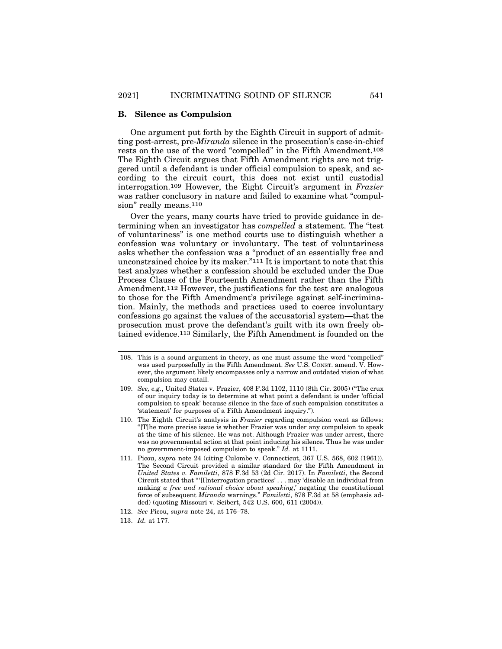#### **B. Silence as Compulsion**

One argument put forth by the Eighth Circuit in support of admitting post-arrest, pre-*Miranda* silence in the prosecution's case-in-chief rests on the use of the word "compelled" in the Fifth Amendment.108 The Eighth Circuit argues that Fifth Amendment rights are not triggered until a defendant is under official compulsion to speak, and according to the circuit court, this does not exist until custodial interrogation.109 However, the Eight Circuit's argument in *Frazier* was rather conclusory in nature and failed to examine what "compulsion" really means.<sup>110</sup>

Over the years, many courts have tried to provide guidance in determining when an investigator has *compelled* a statement. The "test of voluntariness" is one method courts use to distinguish whether a confession was voluntary or involuntary. The test of voluntariness asks whether the confession was a "product of an essentially free and unconstrained choice by its maker." $111$  It is important to note that this test analyzes whether a confession should be excluded under the Due Process Clause of the Fourteenth Amendment rather than the Fifth Amendment.112 However, the justifications for the test are analogous to those for the Fifth Amendment's privilege against self-incrimination. Mainly, the methods and practices used to coerce involuntary confessions go against the values of the accusatorial system—that the prosecution must prove the defendant's guilt with its own freely obtained evidence.113 Similarly, the Fifth Amendment is founded on the

- 108. This is a sound argument in theory, as one must assume the word "compelled" was used purposefully in the Fifth Amendment. *See* U.S. CONST. amend. V. However, the argument likely encompasses only a narrow and outdated vision of what compulsion may entail.
- 109. *See, e.g.*, United States v. Frazier, 408 F.3d 1102, 1110 (8th Cir. 2005) ("The crux of our inquiry today is to determine at what point a defendant is under 'official compulsion to speak' because silence in the face of such compulsion constitutes a 'statement' for purposes of a Fifth Amendment inquiry.").
- 110. The Eighth Circuit's analysis in *Frazier* regarding compulsion went as follows: "[T]he more precise issue is whether Frazier was under any compulsion to speak at the time of his silence. He was not. Although Frazier was under arrest, there was no governmental action at that point inducing his silence. Thus he was under no government-imposed compulsion to speak." *Id.* at 1111.
- 111. Picou, *supra* note 24 (citing Culombe v. Connecticut, 367 U.S. 568, 602 (1961)). The Second Circuit provided a similar standard for the Fifth Amendment in *United States v. Familetti*, 878 F.3d 53 (2d Cir. 2017). In *Familetti*, the Second Circuit stated that "'[I]nterrogation practices' . . . may 'disable an individual from making *a free and rational choice about speaking*,' negating the constitutional force of subsequent *Miranda* warnings." *Familetti*, 878 F.3d at 58 (emphasis added) (quoting Missouri v. Seibert, 542 U.S. 600, 611 (2004)).
- 112. *See* Picou, *supra* note 24, at 176–78.
- 113. *Id.* at 177.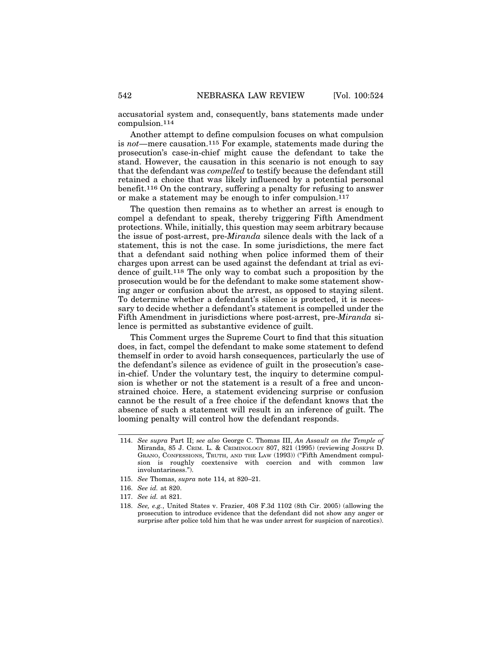accusatorial system and, consequently, bans statements made under compulsion.114

Another attempt to define compulsion focuses on what compulsion is *not*—mere causation.115 For example, statements made during the prosecution's case-in-chief might cause the defendant to take the stand. However, the causation in this scenario is not enough to say that the defendant was *compelled* to testify because the defendant still retained a choice that was likely influenced by a potential personal benefit.116 On the contrary, suffering a penalty for refusing to answer or make a statement may be enough to infer compulsion.117

The question then remains as to whether an arrest is enough to compel a defendant to speak, thereby triggering Fifth Amendment protections. While, initially, this question may seem arbitrary because the issue of post-arrest, pre-*Miranda* silence deals with the lack of a statement, this is not the case. In some jurisdictions, the mere fact that a defendant said nothing when police informed them of their charges upon arrest can be used against the defendant at trial as evidence of guilt.118 The only way to combat such a proposition by the prosecution would be for the defendant to make some statement showing anger or confusion about the arrest, as opposed to staying silent. To determine whether a defendant's silence is protected, it is necessary to decide whether a defendant's statement is compelled under the Fifth Amendment in jurisdictions where post-arrest, pre-*Miranda* silence is permitted as substantive evidence of guilt.

This Comment urges the Supreme Court to find that this situation does, in fact, compel the defendant to make some statement to defend themself in order to avoid harsh consequences, particularly the use of the defendant's silence as evidence of guilt in the prosecution's casein-chief. Under the voluntary test, the inquiry to determine compulsion is whether or not the statement is a result of a free and unconstrained choice. Here, a statement evidencing surprise or confusion cannot be the result of a free choice if the defendant knows that the absence of such a statement will result in an inference of guilt. The looming penalty will control how the defendant responds.

<sup>114.</sup> *See supra* Part II; *see also* George C. Thomas III, *An Assault on the Temple of* Miranda, 85 J. CRIM. L. & CRIMINOLOGY 807, 821 (1995) (reviewing JOSEPH D. GRANO, CONFESSIONS, TRUTH, AND THE LAW (1993)) ("Fifth Amendment compulsion is roughly coextensive with coercion and with common law involuntariness.").

<sup>115.</sup> *See* Thomas, *supra* note 114, at 820–21.

<sup>116.</sup> *See id.* at 820.

<sup>117.</sup> *See id.* at 821.

<sup>118.</sup> *See, e.g.*, United States v. Frazier, 408 F.3d 1102 (8th Cir. 2005) (allowing the prosecution to introduce evidence that the defendant did not show any anger or surprise after police told him that he was under arrest for suspicion of narcotics).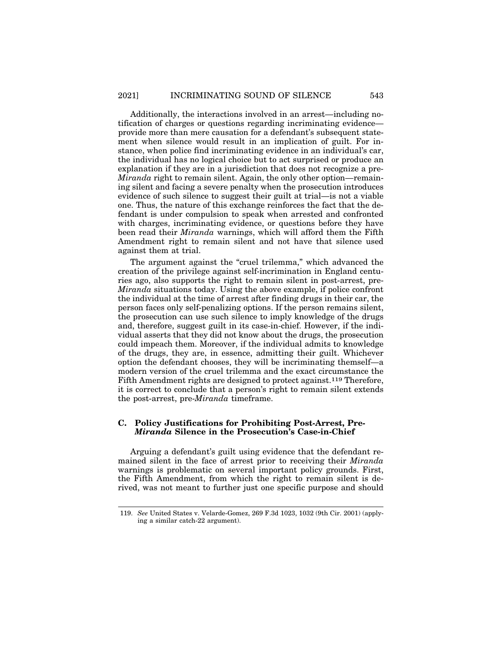Additionally, the interactions involved in an arrest—including notification of charges or questions regarding incriminating evidence provide more than mere causation for a defendant's subsequent statement when silence would result in an implication of guilt. For instance, when police find incriminating evidence in an individual's car, the individual has no logical choice but to act surprised or produce an explanation if they are in a jurisdiction that does not recognize a pre-*Miranda* right to remain silent. Again, the only other option—remaining silent and facing a severe penalty when the prosecution introduces evidence of such silence to suggest their guilt at trial—is not a viable one. Thus, the nature of this exchange reinforces the fact that the defendant is under compulsion to speak when arrested and confronted with charges, incriminating evidence, or questions before they have been read their *Miranda* warnings, which will afford them the Fifth Amendment right to remain silent and not have that silence used against them at trial.

The argument against the "cruel trilemma," which advanced the creation of the privilege against self-incrimination in England centuries ago, also supports the right to remain silent in post-arrest, pre-*Miranda* situations today. Using the above example, if police confront the individual at the time of arrest after finding drugs in their car, the person faces only self-penalizing options. If the person remains silent, the prosecution can use such silence to imply knowledge of the drugs and, therefore, suggest guilt in its case-in-chief. However, if the individual asserts that they did not know about the drugs, the prosecution could impeach them. Moreover, if the individual admits to knowledge of the drugs, they are, in essence, admitting their guilt. Whichever option the defendant chooses, they will be incriminating themself—a modern version of the cruel trilemma and the exact circumstance the Fifth Amendment rights are designed to protect against.119 Therefore, it is correct to conclude that a person's right to remain silent extends the post-arrest, pre-*Miranda* timeframe.

## **C. Policy Justifications for Prohibiting Post-Arrest, Pre-***Miranda* **Silence in the Prosecution's Case-in-Chief**

Arguing a defendant's guilt using evidence that the defendant remained silent in the face of arrest prior to receiving their *Miranda* warnings is problematic on several important policy grounds. First, the Fifth Amendment, from which the right to remain silent is derived, was not meant to further just one specific purpose and should

<sup>119.</sup> *See* United States v. Velarde-Gomez, 269 F.3d 1023, 1032 (9th Cir. 2001) (applying a similar catch-22 argument).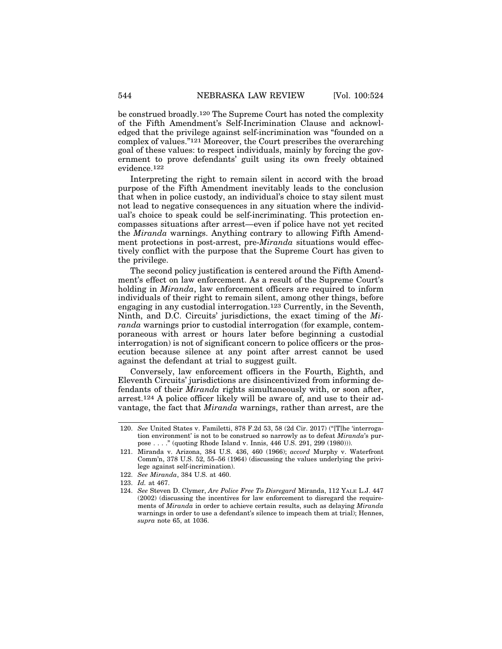be construed broadly.120 The Supreme Court has noted the complexity of the Fifth Amendment's Self-Incrimination Clause and acknowledged that the privilege against self-incrimination was "founded on a complex of values."121 Moreover, the Court prescribes the overarching goal of these values: to respect individuals, mainly by forcing the government to prove defendants' guilt using its own freely obtained evidence.122

Interpreting the right to remain silent in accord with the broad purpose of the Fifth Amendment inevitably leads to the conclusion that when in police custody, an individual's choice to stay silent must not lead to negative consequences in any situation where the individual's choice to speak could be self-incriminating. This protection encompasses situations after arrest—even if police have not yet recited the *Miranda* warnings. Anything contrary to allowing Fifth Amendment protections in post-arrest, pre-*Miranda* situations would effectively conflict with the purpose that the Supreme Court has given to the privilege.

The second policy justification is centered around the Fifth Amendment's effect on law enforcement. As a result of the Supreme Court's holding in *Miranda*, law enforcement officers are required to inform individuals of their right to remain silent, among other things, before engaging in any custodial interrogation.123 Currently, in the Seventh, Ninth, and D.C. Circuits' jurisdictions, the exact timing of the *Miranda* warnings prior to custodial interrogation (for example, contemporaneous with arrest or hours later before beginning a custodial interrogation) is not of significant concern to police officers or the prosecution because silence at any point after arrest cannot be used against the defendant at trial to suggest guilt.

Conversely, law enforcement officers in the Fourth, Eighth, and Eleventh Circuits' jurisdictions are disincentivized from informing defendants of their *Miranda* rights simultaneously with, or soon after, arrest.124 A police officer likely will be aware of, and use to their advantage, the fact that *Miranda* warnings, rather than arrest, are the

<sup>120.</sup> *See* United States v. Familetti, 878 F.2d 53, 58 (2d Cir. 2017) ("[T]he 'interrogation environment' is not to be construed so narrowly as to defeat *Miranda*'s purpose . . . ." (quoting Rhode Island v. Innis, 446 U.S. 291, 299 (1980))).

<sup>121.</sup> Miranda v. Arizona, 384 U.S. 436, 460 (1966); *accord* Murphy v. Waterfront Comm'n, 378 U.S. 52, 55–56 (1964) (discussing the values underlying the privilege against self-incrimination).

<sup>122.</sup> *See Miranda*, 384 U.S. at 460.

<sup>123.</sup> *Id.* at 467.

<sup>124.</sup> *See* Steven D. Clymer, *Are Police Free To Disregard* Miranda, 112 YALE L.J. 447 (2002) (discussing the incentives for law enforcement to disregard the requirements of *Miranda* in order to achieve certain results, such as delaying *Miranda* warnings in order to use a defendant's silence to impeach them at trial); Hennes, *supra* note 65, at 1036.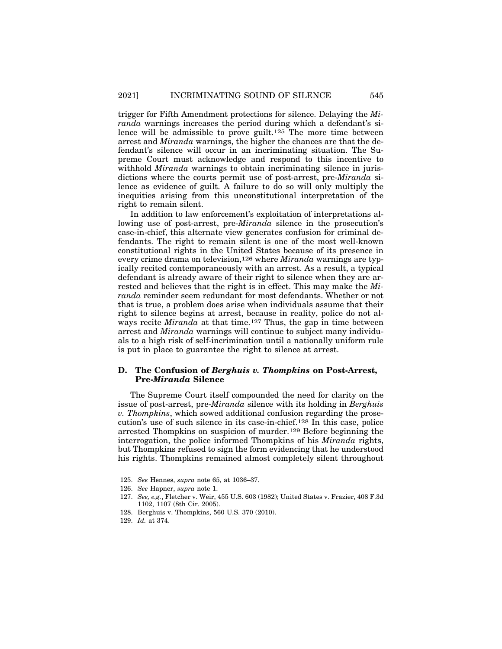trigger for Fifth Amendment protections for silence. Delaying the *Miranda* warnings increases the period during which a defendant's silence will be admissible to prove guilt.125 The more time between arrest and *Miranda* warnings, the higher the chances are that the defendant's silence will occur in an incriminating situation. The Supreme Court must acknowledge and respond to this incentive to withhold *Miranda* warnings to obtain incriminating silence in jurisdictions where the courts permit use of post-arrest, pre-*Miranda* silence as evidence of guilt. A failure to do so will only multiply the inequities arising from this unconstitutional interpretation of the right to remain silent.

In addition to law enforcement's exploitation of interpretations allowing use of post-arrest, pre-*Miranda* silence in the prosecution's case-in-chief, this alternate view generates confusion for criminal defendants. The right to remain silent is one of the most well-known constitutional rights in the United States because of its presence in every crime drama on television,126 where *Miranda* warnings are typically recited contemporaneously with an arrest. As a result, a typical defendant is already aware of their right to silence when they are arrested and believes that the right is in effect. This may make the *Miranda* reminder seem redundant for most defendants. Whether or not that is true, a problem does arise when individuals assume that their right to silence begins at arrest, because in reality, police do not always recite *Miranda* at that time.127 Thus, the gap in time between arrest and *Miranda* warnings will continue to subject many individuals to a high risk of self-incrimination until a nationally uniform rule is put in place to guarantee the right to silence at arrest.

## **D. The Confusion of** *Berghuis v. Thompkins* **on Post-Arrest, Pre-***Miranda* **Silence**

The Supreme Court itself compounded the need for clarity on the issue of post-arrest, pre-*Miranda* silence with its holding in *Berghuis v. Thompkins*, which sowed additional confusion regarding the prosecution's use of such silence in its case-in-chief.128 In this case, police arrested Thompkins on suspicion of murder.129 Before beginning the interrogation, the police informed Thompkins of his *Miranda* rights, but Thompkins refused to sign the form evidencing that he understood his rights. Thompkins remained almost completely silent throughout

<sup>125.</sup> *See* Hennes, *supra* note 65, at 1036–37.

<sup>126.</sup> *See* Hapner, *supra* note 1.

<sup>127.</sup> *See, e.g.*, Fletcher v. Weir, 455 U.S. 603 (1982); United States v. Frazier, 408 F.3d 1102, 1107 (8th Cir. 2005).

<sup>128.</sup> Berghuis v. Thompkins, 560 U.S. 370 (2010).

<sup>129.</sup> *Id.* at 374.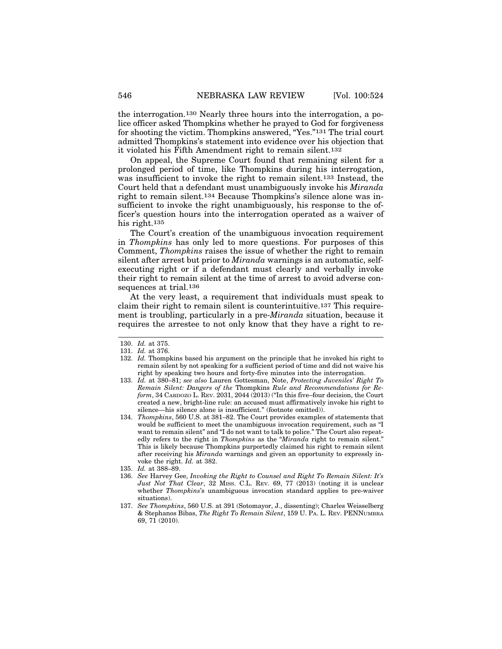the interrogation.130 Nearly three hours into the interrogation, a police officer asked Thompkins whether he prayed to God for forgiveness for shooting the victim. Thompkins answered, "Yes."131 The trial court admitted Thompkins's statement into evidence over his objection that it violated his Fifth Amendment right to remain silent.132

On appeal, the Supreme Court found that remaining silent for a prolonged period of time, like Thompkins during his interrogation, was insufficient to invoke the right to remain silent.133 Instead, the Court held that a defendant must unambiguously invoke his *Miranda* right to remain silent.134 Because Thompkins's silence alone was insufficient to invoke the right unambiguously, his response to the officer's question hours into the interrogation operated as a waiver of his right.135

The Court's creation of the unambiguous invocation requirement in *Thompkins* has only led to more questions. For purposes of this Comment, *Thompkins* raises the issue of whether the right to remain silent after arrest but prior to *Miranda* warnings is an automatic, selfexecuting right or if a defendant must clearly and verbally invoke their right to remain silent at the time of arrest to avoid adverse consequences at trial.136

At the very least, a requirement that individuals must speak to claim their right to remain silent is counterintuitive.137 This requirement is troubling, particularly in a pre-*Miranda* situation, because it requires the arrestee to not only know that they have a right to re-

<sup>130.</sup> *Id.* at 375.

<sup>131.</sup> *Id.* at 376.

<sup>132.</sup> *Id.* Thompkins based his argument on the principle that he invoked his right to remain silent by not speaking for a sufficient period of time and did not waive his right by speaking two hours and forty-five minutes into the interrogation.

<sup>133.</sup> *Id.* at 380–81; *see also* Lauren Gottesman, Note, *Protecting Juveniles' Right To Remain Silent: Dangers of the* Thompkins *Rule and Recommendations for Reform*, 34 CARDOZO L. REV. 2031, 2044 (2013) ("In this five–four decision, the Court created a new, bright-line rule: an accused must affirmatively invoke his right to silence—his silence alone is insufficient." (footnote omitted)).

<sup>134.</sup> *Thompkins*, 560 U.S. at 381–82. The Court provides examples of statements that would be sufficient to meet the unambiguous invocation requirement, such as "I want to remain silent" and "I do not want to talk to police." The Court also repeatedly refers to the right in *Thompkins* as the "*Miranda* right to remain silent." This is likely because Thompkins purportedly claimed his right to remain silent after receiving his *Miranda* warnings and given an opportunity to expressly invoke the right. *Id.* at 382.

<sup>135.</sup> *Id.* at 388–89.

<sup>136.</sup> *See* Harvey Gee, *Invoking the Right to Counsel and Right To Remain Silent: It's Just Not That Clear*, 32 MISS. C.L. REV. 69, 77 (2013) (noting it is unclear whether *Thompkins*'s unambiguous invocation standard applies to pre-waiver situations).

<sup>137.</sup> *See Thompkins*, 560 U.S. at 391 (Sotomayor, J., dissenting); Charles Weisselberg & Stephanos Bibas, *The Right To Remain Silent*, 159 U. PA. L. REV. PENNUMBRA 69, 71 (2010).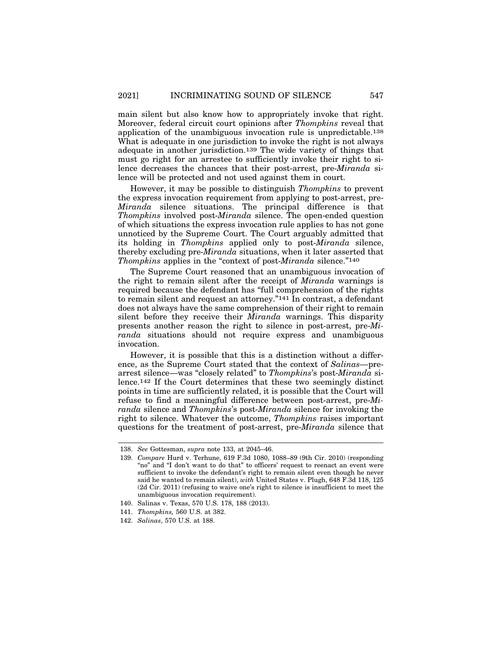main silent but also know how to appropriately invoke that right. Moreover, federal circuit court opinions after *Thompkins* reveal that application of the unambiguous invocation rule is unpredictable.138 What is adequate in one jurisdiction to invoke the right is not always adequate in another jurisdiction.139 The wide variety of things that must go right for an arrestee to sufficiently invoke their right to silence decreases the chances that their post-arrest, pre-*Miranda* silence will be protected and not used against them in court.

However, it may be possible to distinguish *Thompkins* to prevent the express invocation requirement from applying to post-arrest, pre-*Miranda* silence situations. The principal difference is that *Thompkins* involved post-*Miranda* silence. The open-ended question of which situations the express invocation rule applies to has not gone unnoticed by the Supreme Court. The Court arguably admitted that its holding in *Thompkins* applied only to post-*Miranda* silence, thereby excluding pre-*Miranda* situations, when it later asserted that *Thompkins* applies in the "context of post-*Miranda* silence."140

The Supreme Court reasoned that an unambiguous invocation of the right to remain silent after the receipt of *Miranda* warnings is required because the defendant has "full comprehension of the rights to remain silent and request an attorney."141 In contrast, a defendant does not always have the same comprehension of their right to remain silent before they receive their *Miranda* warnings. This disparity presents another reason the right to silence in post-arrest, pre-*Miranda* situations should not require express and unambiguous invocation.

However, it is possible that this is a distinction without a difference, as the Supreme Court stated that the context of *Salinas*—prearrest silence—was "closely related" to *Thompkins*'s post-*Miranda* silence.142 If the Court determines that these two seemingly distinct points in time are sufficiently related, it is possible that the Court will refuse to find a meaningful difference between post-arrest, pre-*Miranda* silence and *Thompkins*'s post-*Miranda* silence for invoking the right to silence. Whatever the outcome, *Thompkins* raises important questions for the treatment of post-arrest, pre-*Miranda* silence that

<sup>138.</sup> *See* Gottesman, *supra* note 133, at 2045–46.

<sup>139.</sup> *Compare* Hurd v. Terhune, 619 F.3d 1080, 1088–89 (9th Cir. 2010) (responding "no" and "I don't want to do that" to officers' request to reenact an event were sufficient to invoke the defendant's right to remain silent even though he never said he wanted to remain silent), *with* United States v. Plugh, 648 F.3d 118, 125 (2d Cir. 2011) (refusing to waive one's right to silence is insufficient to meet the unambiguous invocation requirement).

<sup>140.</sup> Salinas v. Texas, 570 U.S. 178, 188 (2013).

<sup>141.</sup> *Thompkins,* 560 U.S. at 382.

<sup>142.</sup> *Salinas*, 570 U.S. at 188.